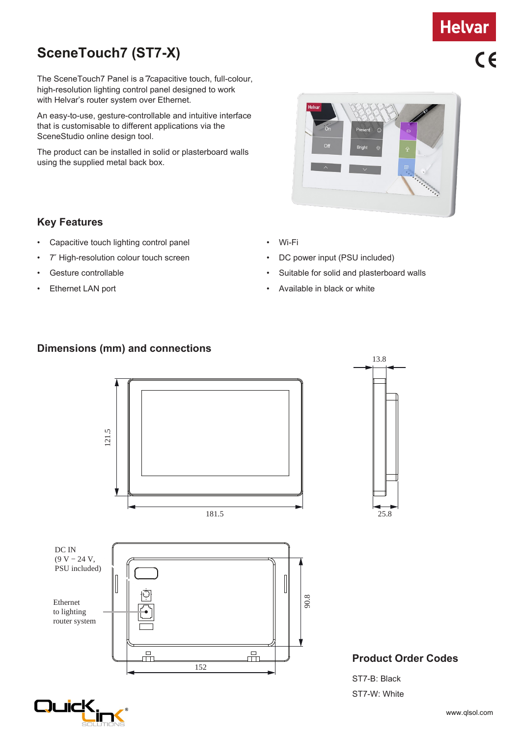# **SceneTouch7 (ST7-X)**

The SceneTouch7 Panel is a 7capacitive touch, full-colour, high-resolution lighting control panel designed to work with Helvar's router system over Ethernet.

An easy-to-use, gesture-controllable and intuitive interface that is customisable to different applications via the SceneStudio online design tool.

The product can be installed in solid or plasterboard walls using the supplied metal back box.

### **Key Features**

- Capacitive touch lighting control panel
- 7″ High-resolution colour touch screen
- Gesture controllable
- Ethernet LAN port
- Wi-Fi
- DC power input (PSU included)
- Suitable for solid and plasterboard walls
- Available in black or white

### **Dimensions (mm) and connections**





### **Product Order Codes**

ST7-W: White



13.8

 $C<sub>6</sub>$